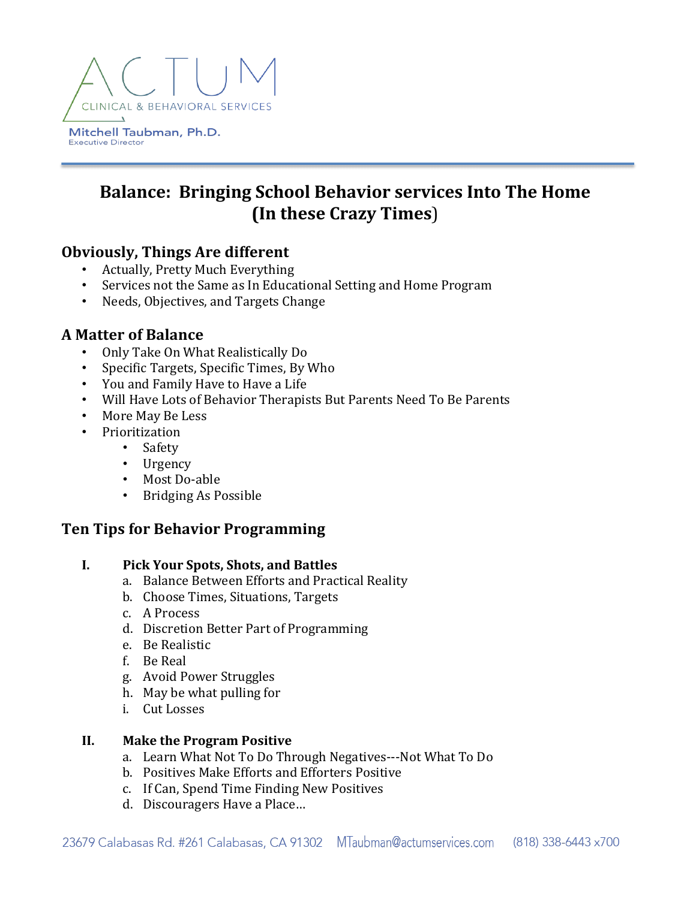

# **Balance: Bringing School Behavior services Into The Home (In these Crazy Times**)

# **Obviously, Things Are different**

- Actually, Pretty Much Everything
- Services not the Same as In Educational Setting and Home Program
- Needs, Objectives, and Targets Change

# **A Matter of Balance**

- Only Take On What Realistically Do
- Specific Targets, Specific Times, By Who
- You and Family Have to Have a Life
- Will Have Lots of Behavior Therapists But Parents Need To Be Parents
- More May Be Less
- Prioritization
	- Safety
	- Urgency
	- Most Do-able
	- Bridging As Possible

# **Ten Tips for Behavior Programming**

#### **I. Pick Your Spots, Shots, and Battles**

- a. Balance Between Efforts and Practical Reality
- b. Choose Times, Situations, Targets
- c. A Process
- d. Discretion Better Part of Programming
- e. Be Realistic
- f. Be Real
- g. Avoid Power Struggles
- h. May be what pulling for
- i. Cut Losses

#### **II. Make the Program Positive**

- a. Learn What Not To Do Through Negatives---Not What To Do
- b. Positives Make Efforts and Efforters Positive
- c. If Can, Spend Time Finding New Positives
- d. Discouragers Have a Place...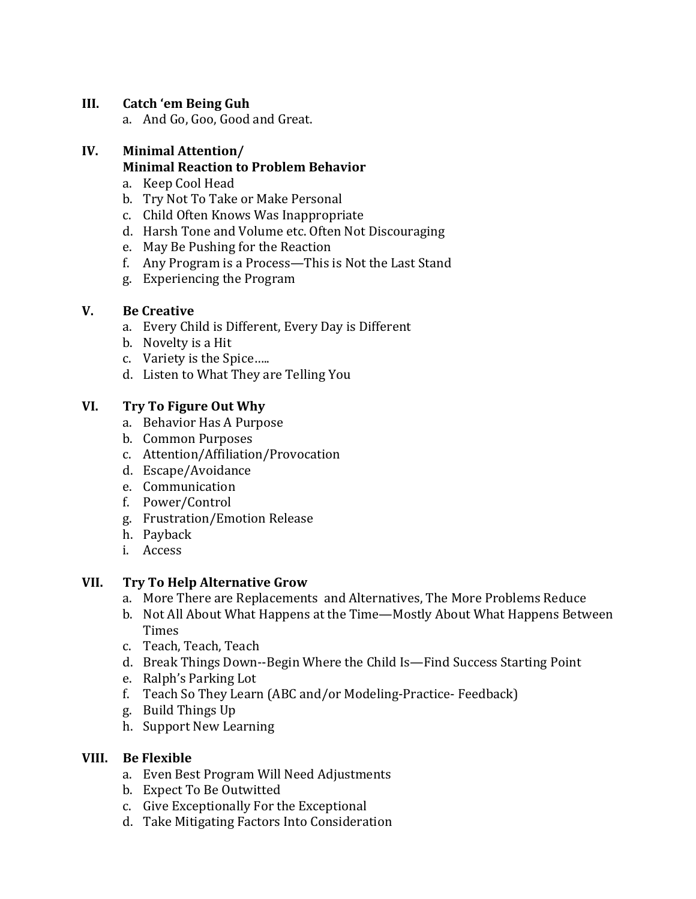# **III.** Catch 'em Being Guh

a. And Go, Goo, Good and Great.

# **IV. Minimal Attention/**

# **Minimal Reaction to Problem Behavior**

- a. Keep Cool Head
- b. Try Not To Take or Make Personal
- c. Child Often Knows Was Inappropriate
- d. Harsh Tone and Volume etc. Often Not Discouraging
- e. May Be Pushing for the Reaction
- f. Any Program is a Process—This is Not the Last Stand
- g. Experiencing the Program

#### **V. Be Creative**

- a. Every Child is Different, Every Day is Different
- b. Novelty is a Hit
- c. Variety is the Spice.....
- d. Listen to What They are Telling You

# **VI. Try To Figure Out Why**

- a. Behavior Has A Purpose
- b. Common Purposes
- c. Attention/Affiliation/Provocation
- d. Escape/Avoidance
- e. Communication
- f. Power/Control
- g. Frustration/Emotion Release
- h. Payback
- i. Access

#### **VII. Try To Help Alternative Grow**

- a. More There are Replacements and Alternatives, The More Problems Reduce
- b. Not All About What Happens at the Time—Mostly About What Happens Between Times
- c. Teach, Teach, Teach
- d. Break Things Down--Begin Where the Child Is—Find Success Starting Point
- e. Ralph's Parking Lot
- f. Teach So They Learn (ABC and/or Modeling-Practice- Feedback)
- g. Build Things Up
- h. Support New Learning

#### **VIII. Be Flexible**

- a. Even Best Program Will Need Adjustments
- b. Expect To Be Outwitted
- c. Give Exceptionally For the Exceptional
- d. Take Mitigating Factors Into Consideration